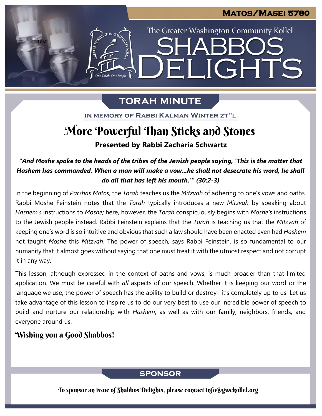The Greater Washington Community Kollel

ELIGHTS

# **TORAH MINUTE**

IN MEMORY OF RABBI KALMAN WINTER ZT"L

# **Presented by Rabbi Zacharia Schwartz** More Powerful Than Sticks and Stones

*"And Moshe spoke to the heads of the tribes of the Jewish people saying, 'This is the matter that Hashem has commanded. When a man will make a vow...he shall not desecrate his word, he shall do all that has left his mouth.'" (30:2-3)*

In the beginning of *Parshas Matos,* the *Torah* teaches us the *Mitzvah* of adhering to one's vows and oaths. Rabbi Moshe Feinstein notes that the *Torah* typically introduces a new *Mitzvah* by speaking about *Hashem's* instructions to *Moshe;* here, however, the *Torah* conspicuously begins with *Moshe's* instructions to the Jewish people instead. Rabbi Feinstein explains that the *Torah* is teaching us that the *Mitzvah* of keeping one's word is so intuitive and obvious that such a law should have been enacted even had *Hashem* not taught *Moshe* this *Mitzvah*. The power of speech, says Rabbi Feinstein, is so fundamental to our humanity that it almost goes without saying that one must treat it with the utmost respect and not corrupt it in any way.

This lesson, although expressed in the context of oaths and vows, is much broader than that limited application. We must be careful with *all* aspects of our speech. Whether it is keeping our word or the language we use, the power of speech has the ability to build or destroy- it's completely up to us. Let us take advantage of this lesson to inspire us to do our very best to use our incredible power of speech to build and nurture our relationship with *Hashem*, as well as with our family, neighbors, friends, and everyone around us.

## Wishing you a Good Shabbos!

test

### **SPONSOR**

To sponsor an issue of Shabbos Delights, please contact info@gwckollel.org